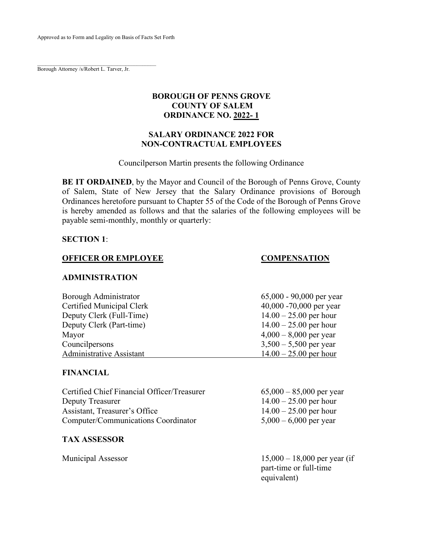Approved as to Form and Legality on Basis of Facts Set Forth

Borough Attorney /s/Robert L. Tarver, Jr.

 $\mathcal{L}_\mathcal{L}$  , and the set of the set of the set of the set of the set of the set of the set of the set of the set of the set of the set of the set of the set of the set of the set of the set of the set of the set of th

# **BOROUGH OF PENNS GROVE COUNTY OF SALEM ORDINANCE NO. 2022- 1**

## **SALARY ORDINANCE 2022 FOR NON-CONTRACTUAL EMPLOYEES**

Councilperson Martin presents the following Ordinance

**BE IT ORDAINED**, by the Mayor and Council of the Borough of Penns Grove, County of Salem, State of New Jersey that the Salary Ordinance provisions of Borough Ordinances heretofore pursuant to Chapter 55 of the Code of the Borough of Penns Grove is hereby amended as follows and that the salaries of the following employees will be payable semi-monthly, monthly or quarterly:

## **SECTION 1**:

## **OFFICER OR EMPLOYEE COMPENSATION**

## **ADMINISTRATION**

| Borough Administrator     | $65,000 - 90,000$ per year |
|---------------------------|----------------------------|
| Certified Municipal Clerk | 40,000 -70,000 per year    |
| Deputy Clerk (Full-Time)  | $14.00 - 25.00$ per hour   |
| Deputy Clerk (Part-time)  | $14.00 - 25.00$ per hour   |
| Mayor                     | $4,000 - 8,000$ per year   |
| Councilpersons            | $3,500 - 5,500$ per year   |
| Administrative Assistant  | $14.00 - 25.00$ per hour   |

## **FINANCIAL**

| Certified Chief Financial Officer/Treasurer | $65,000 - 85,000$ per year |
|---------------------------------------------|----------------------------|
| Deputy Treasurer                            | $14.00 - 25.00$ per hour   |
| Assistant, Treasurer's Office               | $14.00 - 25.00$ per hour   |
| Computer/Communications Coordinator         | $5,000 - 6,000$ per year   |

#### **TAX ASSESSOR**

Municipal Assessor 15,000 – 18,000 per year (if part-time or full-time equivalent)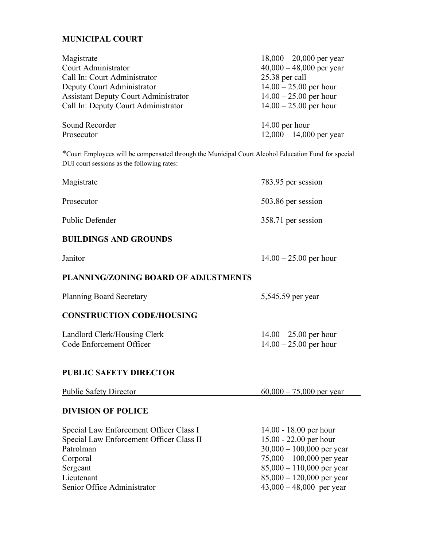# **MUNICIPAL COURT**

| Magistrate                                  | $18,000 - 20,000$ per year |
|---------------------------------------------|----------------------------|
| Court Administrator                         | $40,000 - 48,000$ per year |
| Call In: Court Administrator                | 25.38 per call             |
| Deputy Court Administrator                  | $14.00 - 25.00$ per hour   |
| <b>Assistant Deputy Court Administrator</b> | $14.00 - 25.00$ per hour   |
| Call In: Deputy Court Administrator         | $14.00 - 25.00$ per hour   |
| Sound Recorder                              | 14.00 per hour             |
| Prosecutor                                  | $12,000 - 14,000$ per year |

\*Court Employees will be compensated through the Municipal Court Alcohol Education Fund for special DUI court sessions as the following rates:

| Magistrate      | 783.95 per session |
|-----------------|--------------------|
| Prosecutor      | 503.86 per session |
| Public Defender | 358.71 per session |

# **BUILDINGS AND GROUNDS**

| Janitor                              | $14.00 - 25.00$ per hour |
|--------------------------------------|--------------------------|
| PLANNING/ZONING BOARD OF ADJUSTMENTS |                          |
| <b>Planning Board Secretary</b>      | 5,545.59 per year        |

# **CONSTRUCTION CODE/HOUSING**

| Landlord Clerk/Housing Clerk | $14.00 - 25.00$ per hour |
|------------------------------|--------------------------|
| Code Enforcement Officer     | $14.00 - 25.00$ per hour |

## **PUBLIC SAFETY DIRECTOR**

| <b>Public Safety Director</b> | $60,000 - 75,000$ per year |
|-------------------------------|----------------------------|
|                               |                            |

# **DIVISION OF POLICE**

| Special Law Enforcement Officer Class I  | 14.00 - 18.00 per hour      |
|------------------------------------------|-----------------------------|
| Special Law Enforcement Officer Class II | 15.00 - 22.00 per hour      |
| Patrolman                                | $30,000 - 100,000$ per year |
| Corporal                                 | $75,000 - 100,000$ per year |
| Sergeant                                 | $85,000 - 110,000$ per year |
| Lieutenant                               | $85,000 - 120,000$ per year |
| Senior Office Administrator              | $43,000 - 48,000$ per year  |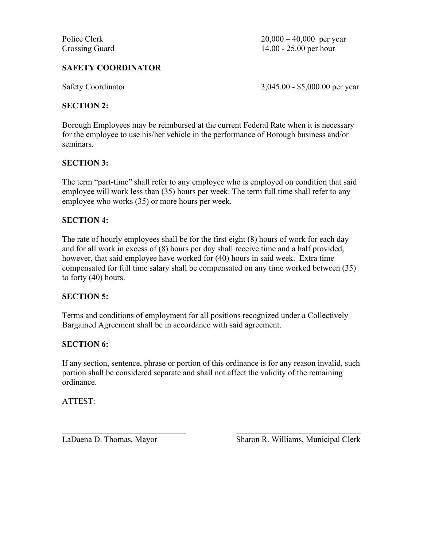Police Clerk  $20,000 - 40,000$  per year Crossing Guard 14.00 - 25.00 per hour

# **SAFETY COORDINATOR**

Safety Coordinator 3,045.00 - \$5,000.00 per year

# **SECTION 2:**

Borough Employees may be reimbursed at the current Federal Rate when it is necessary for the employee to use his/her vehicle in the performance of Borough business and/or seminars.

# **SECTION 3:**

The term "part-time" shall refer to any employee who is employed on condition that said employee will work less than (35) hours per week. The term full time shall refer to any employee who works (35) or more hours per week.

# **SECTION 4:**

The rate of hourly employees shall be for the first eight (8) hours of work for each day and for all work in excess of (8) hours per day shall receive time and a half provided, however, that said employee have worked for (40) hours in said week. Extra time compensated for full time salary shall be compensated on any time worked between (35) to forty (40) hours.

# **SECTION 5:**

Terms and conditions of employment for all positions recognized under a Collectively Bargained Agreement shall be in accordance with said agreement.

## **SECTION 6:**

If any section, sentence, phrase or portion of this ordinance is for any reason invalid, such portion shall be considered separate and shall not affect the validity of the remaining ordinance.

ATTEST:

LaDaena D. Thomas, Mayor Sharon R. Williams, Municipal Clerk